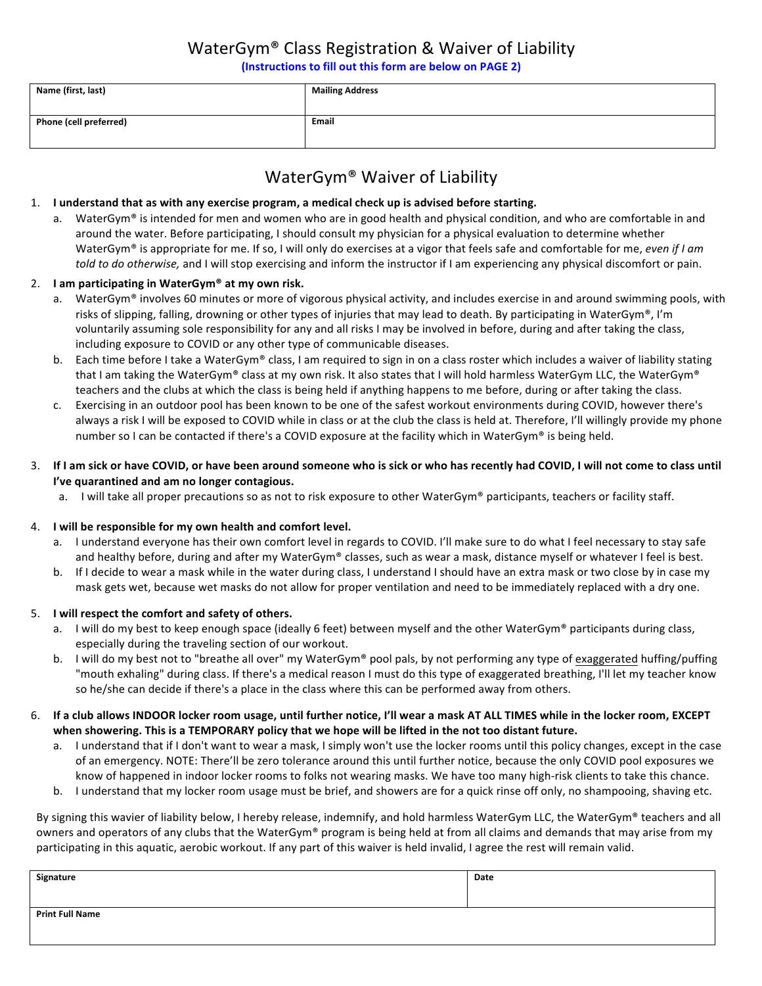# WaterGym<sup>®</sup> Class Registration & Waiver of Liability

(Instructions to fill out this form are below on PAGE 2)

| Name (first, last)            | <b>Mailing Address</b> |
|-------------------------------|------------------------|
| <b>Phone (cell preferred)</b> | Email                  |

# WaterGym® Waiver of Liability

### 1. I understand that as with any exercise program, a medical check up is advised before starting.

a. WaterGym® is intended for men and women who are in good health and physical condition, and who are comfortable in and around the water. Before participating, I should consult my physician for a physical evaluation to determine whether WaterGym<sup>®</sup> is appropriate for me. If so, I will only do exercises at a vigor that feels safe and comfortable for me, *even if I am* told to do otherwise, and I will stop exercising and inform the instructor if I am experiencing any physical discomfort or pain.

### 2. I am participating in WaterGym<sup>®</sup> at my own risk.

- a. WaterGym<sup>®</sup> involves 60 minutes or more of vigorous physical activity, and includes exercise in and around swimming pools, with risks of slipping, falling, drowning or other types of injuries that may lead to death. By participating in WaterGym®, I'm voluntarily assuming sole responsibility for any and all risks I may be involved in before, during and after taking the class, including exposure to COVID or any other type of communicable diseases.
- b. Each time before I take a WaterGym® class, I am required to sign in on a class roster which includes a waiver of liability stating that I am taking the WaterGym® class at my own risk. It also states that I will hold harmless WaterGym LLC, the WaterGym® teachers and the clubs at which the class is being held if anything happens to me before, during or after taking the class.
- c. Exercising in an outdoor pool has been known to be one of the safest workout environments during COVID, however there's always a risk I will be exposed to COVID while in class or at the club the class is held at. Therefore, I'll willingly provide my phone number so I can be contacted if there's a COVID exposure at the facility which in WaterGym® is being held.
- 3. If I am sick or have COVID, or have been around someone who is sick or who has recently had COVID, I will not come to class until **I've quarantined and am no longer contagious.** 
	- a. I will take all proper precautions so as not to risk exposure to other WaterGym® participants, teachers or facility staff.

#### 4. I will be responsible for my own health and comfort level.

- a. I understand everyone has their own comfort level in regards to COVID. I'll make sure to do what I feel necessary to stay safe and healthy before, during and after my WaterGym® classes, such as wear a mask, distance myself or whatever I feel is best.
- b. If I decide to wear a mask while in the water during class, I understand I should have an extra mask or two close by in case my mask gets wet, because wet masks do not allow for proper ventilation and need to be immediately replaced with a dry one.

#### 5. **I will respect the comfort and safety of others.**

- a. I will do my best to keep enough space (ideally 6 feet) between myself and the other WaterGym® participants during class, especially during the traveling section of our workout.
- b. I will do my best not to "breathe all over" my WaterGym® pool pals, by not performing any type of exaggerated huffing/puffing "mouth exhaling" during class. If there's a medical reason I must do this type of exaggerated breathing, I'll let my teacher know so he/she can decide if there's a place in the class where this can be performed away from others.
- 6. If a club allows INDOOR locker room usage, until further notice, I'll wear a mask AT ALL TIMES while in the locker room, EXCEPT when showering. This is a TEMPORARY policy that we hope will be lifted in the not too distant future.
	- a. I understand that if I don't want to wear a mask, I simply won't use the locker rooms until this policy changes, except in the case of an emergency. NOTE: There'll be zero tolerance around this until further notice, because the only COVID pool exposures we know of happened in indoor locker rooms to folks not wearing masks. We have too many high-risk clients to take this chance.
	- b. I understand that my locker room usage must be brief, and showers are for a quick rinse off only, no shampooing, shaving etc.

By signing this wavier of liability below, I hereby release, indemnify, and hold harmless WaterGym LLC, the WaterGym® teachers and all owners and operators of any clubs that the WaterGym® program is being held at from all claims and demands that may arise from my participating in this aquatic, aerobic workout. If any part of this waiver is held invalid, I agree the rest will remain valid.

| Signature              | Date |
|------------------------|------|
|                        |      |
| <b>Print Full Name</b> |      |
|                        |      |